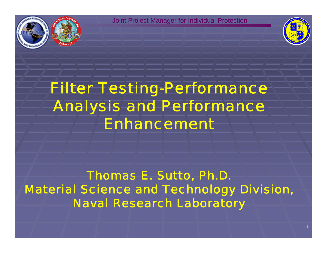



# *Filter Testing-Performance Analysis and Performance Enhancement*

*Thomas E. Sutto, Ph.D. Material Science and Technology Division, Naval Research Laboratory*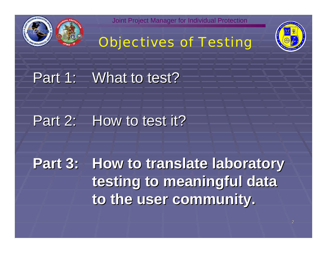

# *Objectives of Testing*



Part 1: What to test?

## Part 2: How to test it?

**Part 3: How to translate laboratory** testing to meaningful data **to the user community. to the user community.**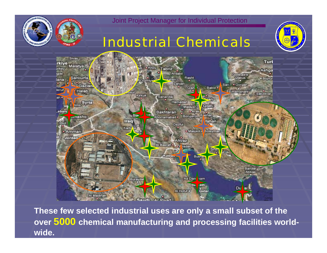

### *Industrial Chemicals*





3 **over 5000 chemical manufacturing and processing facilities world-These few selected industrial uses are only a small subset of the wide.**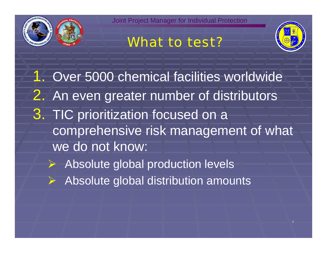





1. Over 5000 chemical facilities worldwide 2. An even greater number of distributors 3. TIC prioritization focused on a comprehensive risk management of what we do not know:

- ¾ Absolute global production levels
- ¾ Absolute global distribution amounts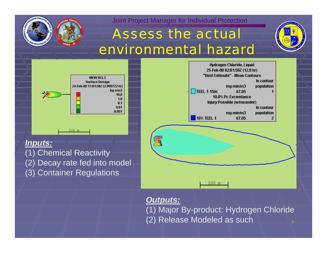

## *Assess the actual environmental hazard*





#### *Inputs:*

(1) Chemical Reactivity

- (2) Decay rate fed into model
- (3) Container Regulations



*Outputs:*

5(1) Major By-product: Hydrogen Chloride (2) Release Modeled as such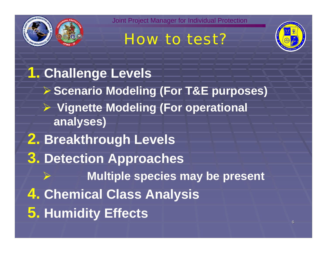





**1. Challenge Levels** ¾ **Scenario Modeling (For T&E purposes)** ¾ **Vignette Modeling (For operational analyses) 2. Breakthrough Levels 3. Detection Approaches** ¾ **Multiple species may be present 4. Chemical Class Analysis 5. Humidity Effects**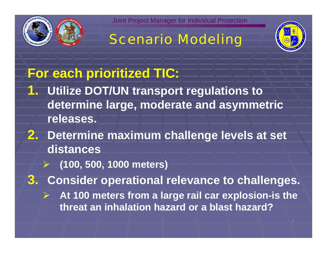





# **For each prioritized TIC:**

- **1. Utilize DOT/UN transport regulations to determine large, moderate and asymmetric releases.**
- **2. Determine maximum challenge levels at set distances**
	- $\rightarrow$ **(100, 500, 1000 meters)**

**3. Consider operational relevance to challenges.**

 $\blacktriangleright$  **At 100 meters from a large rail car explosion-is the threat an inhalation hazard or a blast hazard?**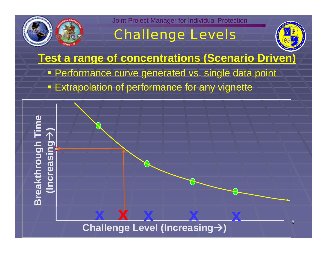

# *Challenge Levels*



**Test a range of concentrations (Scenario Driven) Performance curve generated vs. single data point Extrapolation of performance for any vignette** 

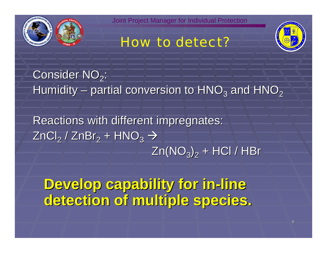





Consider NO $_2^{\cdot}$ : Humidity – partial conversion to  $HNO<sub>3</sub>$  and  $HNO<sub>2</sub>$ 

Reactions with different impregnates: ZnCl $_2$  / ZnBr $_2$  +  ${\sf HNO}_3$   $\rightarrow$  $Zn(NO<sub>3</sub>)<sub>2</sub> + HCl / HBr$ 

**Develop capability for in Develop capability for in-line detection of multiple species. detection of multiple species.**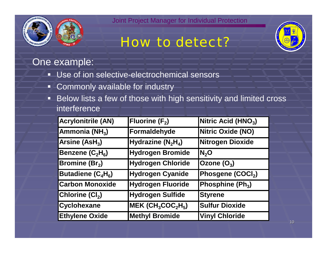

# *How to detect?*



### One example:

- ۵., Use of ion selective-electrochemical sensors
- Commonly available for industry
- ▣ Below lists a few of those with high sensitivity and limited cross interference

| <b>Acrylonitrile (AN)</b>  | <b>Fluorine (F<sub>2</sub>)</b> | Nitric Acid ( $HNO3$ ) |
|----------------------------|---------------------------------|------------------------|
| Ammonia (NH <sub>3</sub> ) | Formaldehyde                    | Nitric Oxide (NO)      |
| Arsine $(ASH3)$            | Hydrazine $(N_2H_4)$            | Nitrogen Dioxide       |
| Benzene $(C_2H_6)$         | Hydrogen Bromide                | N <sub>2</sub> O       |
| <b>Bromine (Br2)</b>       | Hydrogen Chloride               | Ozone $(O_3)$          |
| Butadiene $(C_4H_6)$       | Hydrogen Cyanide                | Phosgene (COCI2)       |
| <b>Carbon Monoxide</b>     | <b>Hydrogen Fluoride</b>        | Phosphine $(Ph3)$      |
| Chlorine $(Cl2)$           | Hydrogen Sulfide                | <b>Styrene</b>         |
| <b>Cyclohexane</b>         | $MEK (CH_3COC_2H_5)$            | <b>Sulfur Dioxide</b>  |
| <b>Ethylene Oxide</b>      | <b>Methyl Bromide</b>           | <b>Vinyl Chloride</b>  |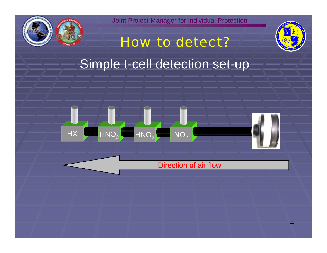

*How to detect?*



# Simple t-cell detection set-up



#### Direction of air flow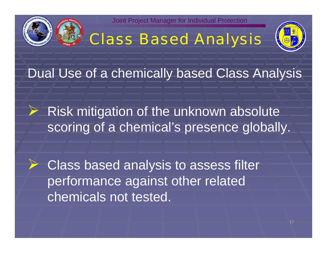

# *Class Based Analysis*



Dual Use of a chemically based Class Analysis

 $\triangleright$  Risk mitigation of the unknown absolute scoring of a chemical's presence globally.

 $\triangleright$  Class based analysis to assess filter performance against other related chemicals not tested.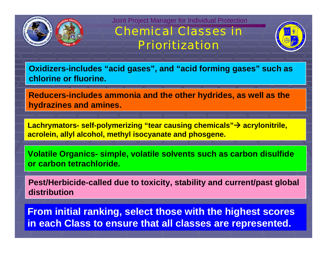

### *Chemical Classes in Prioritization*



**Oxidizers-includes "acid gases", and "acid forming gases" such as chlorine or fluorine.**

**Reducers-includes ammonia and the other hydrides, as well as the hydrazines and amines.**

Lachrymators- self-polymerizing "tear causing chemicals"→ acrylonitrile, **acrolein, allyl alcohol, methyl isocyanate and phosgene.**

**Volatile Organics- simple, volatile solvents such as carbon disulfide or carbon tetrachloride.** 

**Pest/Herbicide-called due to toxicity, stability and current/past global distribution**

**From initial ranking, select those with the highest scores in each Class to ensure that all classes are represented.**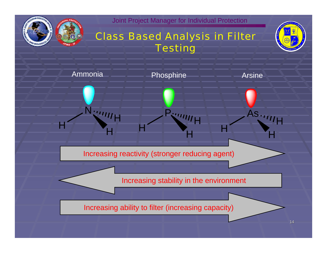

### *Class Based Analysis in Filter Testing*



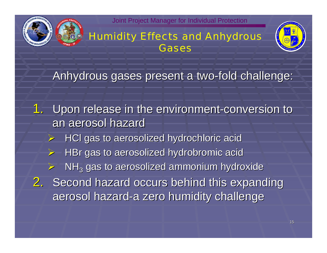

#### *Humidity Effects and Anhydrous Gases*



Anhydrous gases present a two-fold challenge:

1. Upon release in the environment-conversion to an aerosol hazard ¾ HCl gas to aerosolized hydrochloric acid HCl gas to aerosolized hydrochloric acid ¾HBr gas to aerosolized hydrobromic acid ¾ $\triangleright$  NH<sub>3</sub> gas to aerosolized ammonium hydroxide 2. Second hazard occurs behind this expanding aerosol hazard-a zero humidity challenge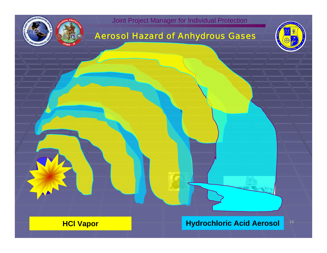

#### *Aerosol Hazard of Anhydrous Gases*



16 **HCl Vapor Hydrochloric Acid Aerosol**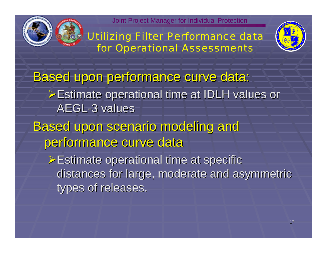

*Utilizing Filter Performance data for Operational Assessments*



Based upon performance curve data:

¾Estimate operational time at IDLH values or Estimate operational time at IDLH values or AEGL-3 values

**Based upon scenario modeling and** performance curve data

 $\triangleright$  Estimate operational time at specific distances for large, moderate and asymmetric types of releases.